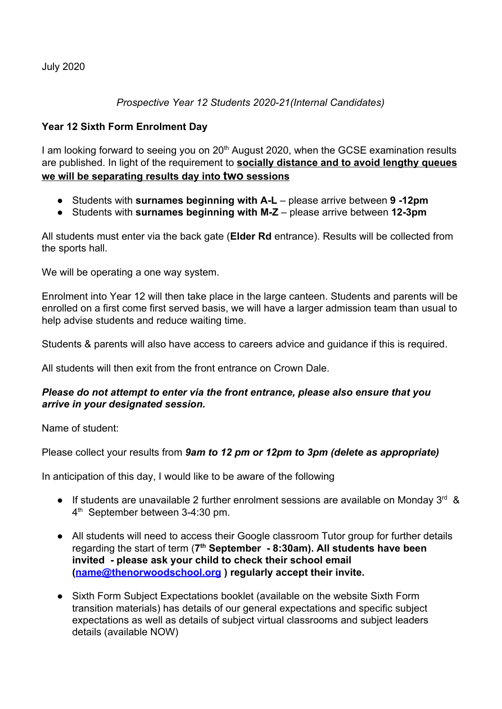July 2020

## *Prospective Year 12 Students 2020-21(Internal Candidates)*

## **Year 12 Sixth Form Enrolment Day**

I am looking forward to seeing you on 20<sup>th</sup> August 2020, when the GCSE examination results are published. In light of the requirement to **socially distance and to avoid lengthy queues we will be separating results day into two sessions**

- Students with **surnames beginning with A-L** please arrive between **9 -12pm**
- Students with **surnames beginning with M-Z** please arrive between **12-3pm**

All students must enter via the back gate (**Elder Rd** entrance). Results will be collected from the sports hall.

We will be operating a one way system.

Enrolment into Year 12 will then take place in the large canteen. Students and parents will be enrolled on a first come first served basis, we will have a larger admission team than usual to help advise students and reduce waiting time.

Students & parents will also have access to careers advice and guidance if this is required.

All students will then exit from the front entrance on Crown Dale.

## *Please do not attempt to enter via the front entrance, please also ensure that you arrive in your designated session.*

Name of student:

Please collect your results from *9am to 12 pm or 12pm to 3pm (delete as appropriate)*

In anticipation of this day, I would like to be aware of the following

- If students are unavailable 2 further enrolment sessions are available on Monday  $3^{rd}$  & 4<sup>th</sup> September between 3-4:30 pm.
- All students will need to access their Google classroom Tutor group for further details regarding the start of term (7<sup>th</sup> September - 8:30am). All students have been **invited - please ask your child to check their school email ([name@thenorwoodschool.org](mailto:name@thenorwoodschool.org) ) regularly accept their invite.**
- Sixth Form Subject Expectations booklet (available on the website Sixth Form transition materials) has details of our general expectations and specific subject expectations as well as details of subject virtual classrooms and subject leaders details (available NOW)